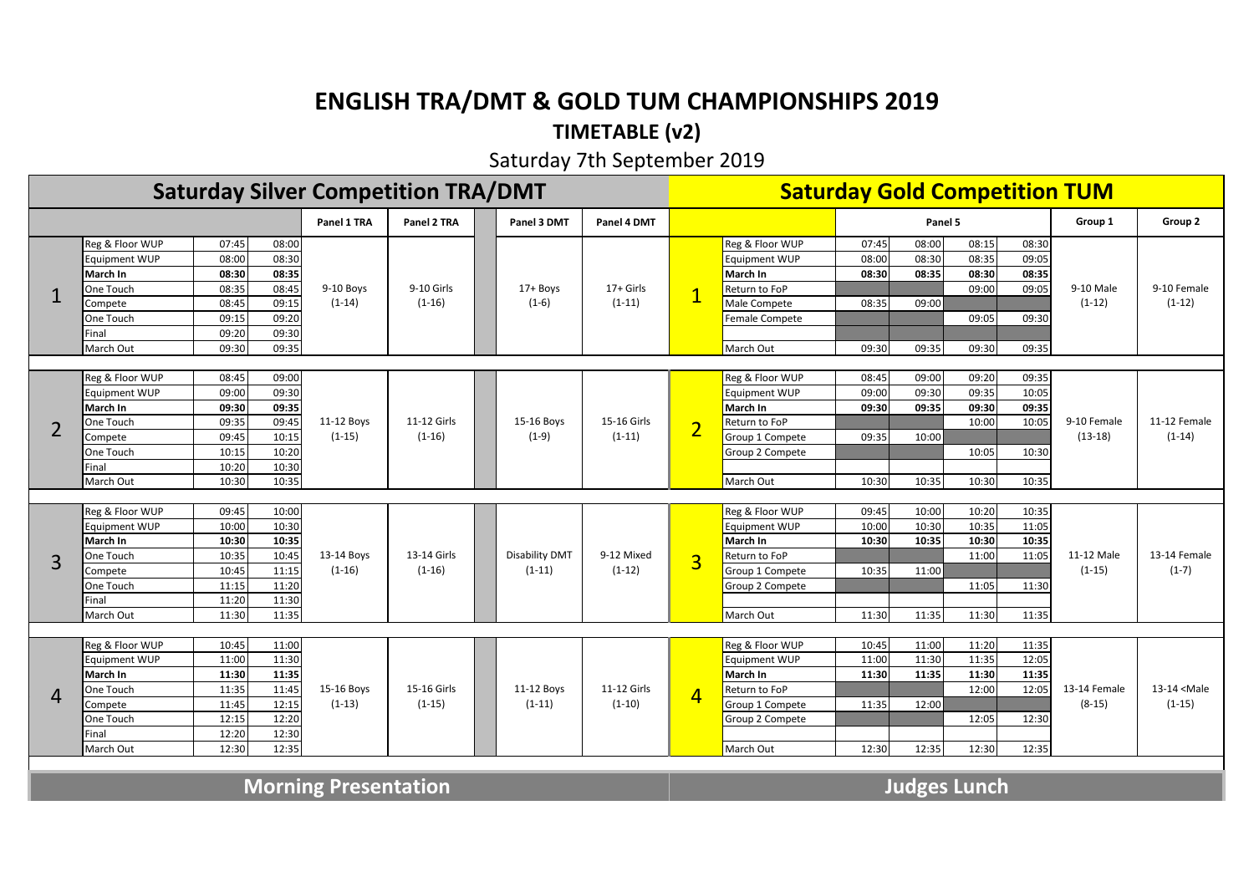## **ENGLISH TRA/DMT & GOLD TUM CHAMPIONSHIPS 2019**

### **TIMETABLE (v2)**

#### Saturday 7th September 2019

| <b>Saturday Silver Competition TRA/DMT</b> |                             |       |       |             |                         |                |                         |                     | <b>Saturday Gold Competition TUM</b> |       |         |                |                |                          |                             |
|--------------------------------------------|-----------------------------|-------|-------|-------------|-------------------------|----------------|-------------------------|---------------------|--------------------------------------|-------|---------|----------------|----------------|--------------------------|-----------------------------|
|                                            |                             |       |       | Panel 1 TRA | Panel 2 TRA             | Panel 3 DMT    | Panel 4 DMT             |                     |                                      |       | Panel 5 |                |                | Group 1                  | Group 2                     |
|                                            | Reg & Floor WUP             | 07:45 | 08:00 |             |                         |                |                         |                     | Reg & Floor WUP                      | 07:45 | 08:00   | 08:15          | 08:30          | 9-10 Male                |                             |
|                                            | <b>Equipment WUP</b>        | 08:00 | 08:30 |             |                         |                | $17+$ Girls             |                     | Equipment WUP                        | 08:00 | 08:30   | 08:35          | 09:05          |                          |                             |
|                                            | March In                    | 08:30 | 08:35 |             | 9-10 Girls              |                |                         |                     | March In                             | 08:30 | 08:35   | 08:30          | 08:35          |                          |                             |
|                                            | One Touch                   | 08:35 | 08:45 | 9-10 Boys   |                         | $17 +$ Boys    |                         |                     | Return to FoP                        |       |         | 09:00          | 09:05          |                          | 9-10 Female                 |
|                                            | Compete                     | 08:45 | 09:15 | $(1-14)$    | $(1-16)$                | $(1-6)$        | $(1-11)$                |                     | Male Compete                         | 08:35 | 09:00   |                |                | $(1-12)$                 | $(1-12)$                    |
|                                            | One Touch                   | 09:15 | 09:20 |             |                         |                |                         |                     | Female Compete                       |       |         | 09:05          | 09:30          |                          |                             |
|                                            | Final                       | 09:20 | 09:30 |             |                         |                |                         |                     |                                      |       |         |                |                |                          |                             |
|                                            | March Out                   | 09:30 | 09:35 |             |                         |                |                         |                     | March Out                            | 09:30 | 09:35   | 09:30          | 09:35          |                          |                             |
|                                            |                             |       |       |             |                         |                |                         |                     |                                      |       |         |                |                |                          |                             |
|                                            | Reg & Floor WUP             | 08:45 | 09:00 |             |                         |                | 15-16 Girls<br>$(1-11)$ | $\overline{2}$      | Reg & Floor WUP                      | 08:45 | 09:00   | 09:20          | 09:35          | 9-10 Female<br>$(13-18)$ |                             |
|                                            | <b>Equipment WUP</b>        | 09:00 | 09:30 |             | 11-12 Girls<br>$(1-16)$ |                |                         |                     | Equipment WUP                        | 09:00 | 09:30   | 09:35          | 10:05          |                          |                             |
|                                            | March In                    | 09:30 | 09:35 |             |                         |                |                         |                     | March In                             | 09:30 | 09:35   | 09:30          | 09:35          |                          |                             |
| $\overline{2}$                             | One Touch                   | 09:35 | 09:45 | 11-12 Boys  |                         | 15-16 Boys     |                         |                     | Return to FoP                        |       |         | 10:00          | 10:05          |                          | 11-12 Female                |
|                                            | Compete                     | 09:45 | 10:15 | $(1-15)$    |                         | $(1-9)$        |                         |                     | Group 1 Compete                      | 09:35 | 10:00   |                |                |                          | $(1-14)$                    |
|                                            | One Touch                   | 10:15 | 10:20 |             |                         |                |                         |                     | Group 2 Compete                      |       |         | 10:05          | 10:30          |                          |                             |
|                                            | Final                       | 10:20 | 10:30 |             |                         |                |                         |                     |                                      |       |         |                |                |                          |                             |
|                                            | March Out                   | 10:30 | 10:35 |             |                         |                |                         |                     | March Out                            | 10:30 | 10:35   | 10:30          | 10:35          |                          |                             |
|                                            |                             |       |       |             |                         |                |                         |                     |                                      |       |         |                |                |                          |                             |
|                                            | Reg & Floor WUP             | 09:45 | 10:00 |             | 13-14 Girls             |                | 9-12 Mixed              | $\overline{3}$      | Reg & Floor WUP                      | 09:45 | 10:00   | 10:20          | 10:35          |                          |                             |
|                                            | <b>Equipment WUP</b>        | 10:00 | 10:30 |             |                         |                |                         |                     | <b>Equipment WUP</b>                 | 10:00 | 10:30   | 10:35          | 11:05          |                          |                             |
|                                            | March In                    | 10:30 | 10:35 |             |                         |                |                         |                     | March In                             | 10:30 | 10:35   | 10:30          | 10:35          |                          |                             |
| 3                                          | One Touch                   | 10:35 | 10:45 | 13-14 Boys  |                         | Disability DMT |                         |                     | Return to FoP                        |       |         | 11:00          | 11:05          | 11-12 Male               | 13-14 Female                |
|                                            | Compete                     | 10:45 | 11:15 | $(1-16)$    | $(1-16)$                | $(1-11)$       | $(1-12)$                |                     | Group 1 Compete                      | 10:35 | 11:00   |                |                | $(1-15)$                 | $(1-7)$                     |
|                                            | One Touch                   | 11:15 | 11:20 |             |                         |                |                         |                     | Group 2 Compete                      |       |         | 11:05          | 11:30          |                          |                             |
|                                            | Final                       | 11:20 | 11:30 |             |                         |                |                         |                     |                                      |       |         |                |                |                          |                             |
|                                            | March Out                   | 11:30 | 11:35 |             |                         |                |                         |                     | March Out                            | 11:30 | 11:35   | 11:30          | 11:35          |                          |                             |
|                                            |                             |       |       |             |                         |                |                         |                     |                                      |       |         |                |                |                          |                             |
|                                            | Reg & Floor WUP             | 10:45 | 11:00 |             |                         |                |                         |                     | Reg & Floor WUP                      | 10:45 | 11:00   | 11:20<br>11:35 | 11:35<br>12:05 |                          |                             |
|                                            | <b>Equipment WUP</b>        | 11:00 | 11:30 |             |                         |                |                         |                     | <b>Equipment WUP</b>                 | 11:00 | 11:30   |                |                |                          |                             |
|                                            | March In                    | 11:30 | 11:35 |             |                         |                |                         |                     | March In                             | 11:30 | 11:35   | 11:30          | 11:35          |                          |                             |
| 4                                          | One Touch                   | 11:35 | 11:45 | 15-16 Boys  | 15-16 Girls             | 11-12 Boys     | 11-12 Girls             | 4                   | Return to FoP                        |       |         | 12:00          | 12:05          | 13-14 Female             | 13-14 <male< td=""></male<> |
|                                            | Compete                     | 11:45 | 12:15 | $(1-13)$    | $(1-15)$                | $(1-11)$       | $(1-10)$                |                     | Group 1 Compete                      | 11:35 | 12:00   |                |                | $(8-15)$                 | $(1-15)$                    |
|                                            | One Touch                   | 12:15 | 12:20 |             |                         |                |                         |                     | Group 2 Compete                      |       |         | 12:05          | 12:30          |                          |                             |
|                                            | Final                       | 12:20 | 12:30 |             |                         |                |                         |                     |                                      |       |         |                |                |                          |                             |
|                                            | March Out                   | 12:30 | 12:35 |             |                         |                |                         |                     | March Out                            | 12:30 | 12:35   | 12:30          | 12:35          |                          |                             |
|                                            |                             |       |       |             |                         |                |                         |                     |                                      |       |         |                |                |                          |                             |
|                                            | <b>Morning Presentation</b> |       |       |             |                         |                |                         | <b>Judges Lunch</b> |                                      |       |         |                |                |                          |                             |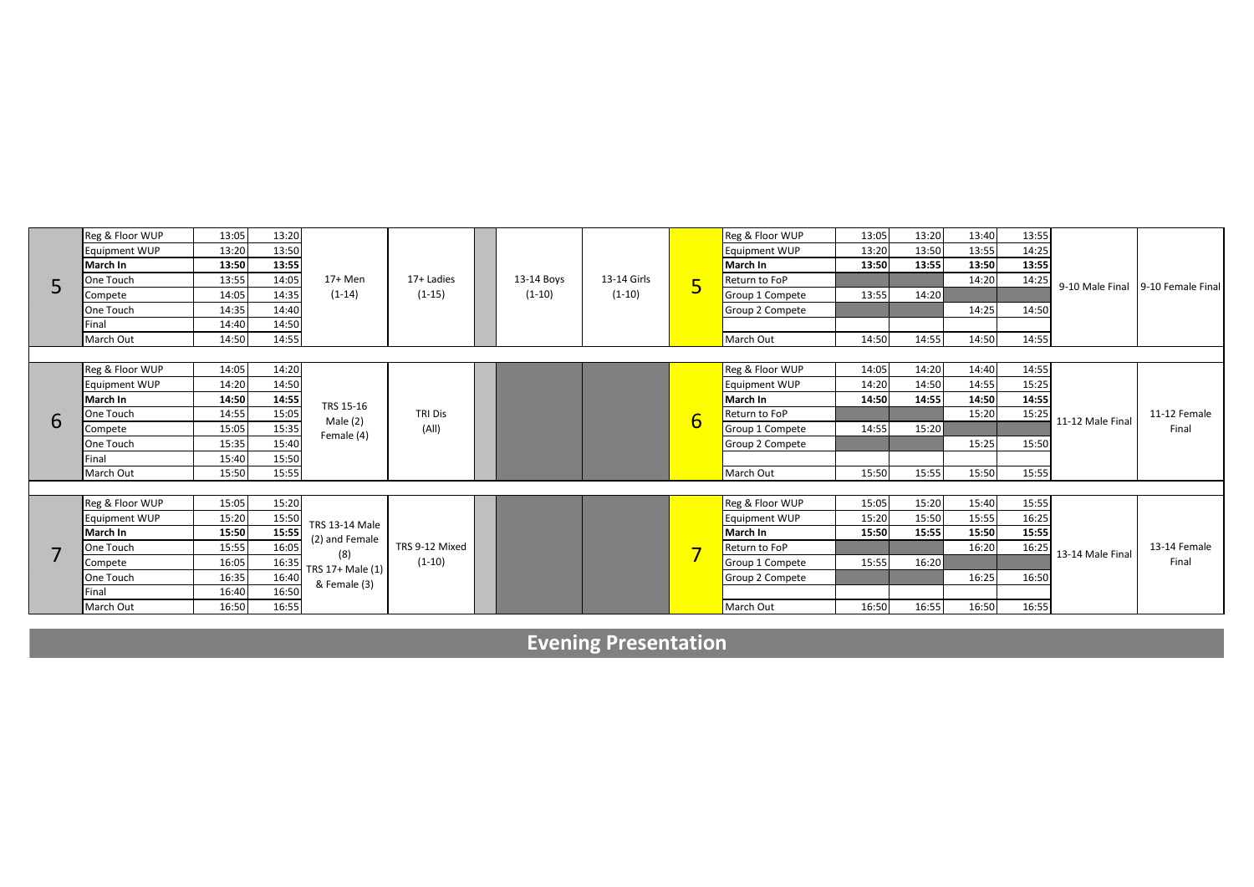|   | Reg & Floor WUP      | 13:05 | 13:20 |                                           |                         |            |                         |                | Reg & Floor WUP      | 13:05 | 13:20 | 13:40 | 13:55 |                                   |              |
|---|----------------------|-------|-------|-------------------------------------------|-------------------------|------------|-------------------------|----------------|----------------------|-------|-------|-------|-------|-----------------------------------|--------------|
|   | <b>Equipment WUP</b> | 13:20 | 13:50 |                                           |                         |            | 13-14 Girls<br>$(1-10)$ |                | <b>Equipment WUP</b> | 13:20 | 13:50 | 13:55 | 14:25 | 9-10 Male Final 9-10 Female Final |              |
|   | March In             | 13:50 | 13:55 |                                           | 17+ Ladies<br>$(1-15)$  |            |                         |                | March In             | 13:50 | 13:55 | 13:50 | 13:55 |                                   |              |
|   | One Touch            | 13:55 | 14:05 | 17+ Men                                   |                         | 13-14 Boys |                         | 5              | Return to FoP        |       |       | 14:20 | 14:25 |                                   |              |
|   | Compete              | 14:05 | 14:35 | $(1-14)$                                  |                         | $(1-10)$   |                         |                | Group 1 Compete      | 13:55 | 14:20 |       |       |                                   |              |
|   | One Touch            | 14:35 | 14:40 |                                           |                         |            |                         |                | Group 2 Compete      |       |       | 14:25 | 14:50 |                                   |              |
|   | Final                | 14:40 | 14:50 |                                           |                         |            |                         |                |                      |       |       |       |       |                                   |              |
|   | March Out            | 14:50 | 14:55 |                                           |                         |            |                         |                | March Out            | 14:50 | 14:55 | 14:50 | 14:55 |                                   |              |
|   |                      |       |       |                                           |                         |            |                         |                |                      |       |       |       |       |                                   |              |
|   | Reg & Floor WUP      | 14:05 | 14:20 |                                           |                         |            |                         |                | Reg & Floor WUP      | 14:05 | 14:20 | 14:40 | 14:55 |                                   |              |
|   | <b>Equipment WUP</b> | 14:20 | 14:50 | TRS 15-16<br>Male $(2)$<br>Female (4)     | <b>TRI Dis</b><br>(A  ) |            |                         |                | <b>Equipment WUP</b> | 14:20 | 14:50 | 14:55 | 15:25 |                                   |              |
|   | March In             | 14:50 | 14:55 |                                           |                         |            |                         | $\overline{6}$ | March In             | 14:50 | 14:55 | 14:50 | 14:55 | 11-12 Male Final                  |              |
| 6 | One Touch            | 14:55 | 15:05 |                                           |                         |            |                         |                | Return to FoP        |       |       | 15:20 | 15:25 |                                   | 11-12 Female |
|   | Compete              | 15:05 | 15:35 |                                           |                         |            |                         |                | Group 1 Compete      | 14:55 | 15:20 |       |       |                                   | Final        |
|   | One Touch            | 15:35 | 15:40 |                                           |                         |            |                         |                | Group 2 Compete      |       |       | 15:25 | 15:50 |                                   |              |
|   | <b>I</b> Final       | 15:40 | 15:50 |                                           |                         |            |                         |                |                      |       |       |       |       |                                   |              |
|   | March Out            | 15:50 | 15:55 |                                           |                         |            |                         |                | March Out            | 15:50 | 15:55 | 15:50 | 15:55 |                                   |              |
|   |                      |       |       |                                           |                         |            |                         |                |                      |       |       |       |       |                                   |              |
|   | Reg & Floor WUP      | 15:05 | 15:20 |                                           |                         |            |                         |                | Reg & Floor WUP      | 15:05 | 15:20 | 15:40 | 15:55 |                                   |              |
|   | <b>Equipment WUP</b> | 15:20 | 15:50 | <b>TRS 13-14 Male</b>                     |                         |            |                         |                | Equipment WUP        | 15:20 | 15:50 | 15:55 | 16:25 |                                   |              |
|   | March In             | 15:50 | 15:55 |                                           |                         |            |                         |                | March In             | 15:50 | 15:55 | 15:50 | 15:55 |                                   |              |
|   | One Touch            | 15:55 | 16:05 | (2) and Female<br>(8)<br>TRS 17+ Male (1) | TRS 9-12 Mixed          |            |                         |                | Return to FoP        |       |       | 16:20 | 16:25 | 13-14 Male Final                  | 13-14 Female |
|   | Compete              | 16:05 | 16:35 |                                           | $(1-10)$                |            |                         |                | Group 1 Compete      | 15:55 | 16:20 |       |       |                                   | Final        |
|   | One Touch            | 16:35 | 16:40 | & Female (3)                              |                         |            |                         |                | Group 2 Compete      |       |       | 16:25 | 16:50 |                                   |              |
|   | Final                | 16:40 | 16:50 |                                           |                         |            |                         |                |                      |       |       |       |       |                                   |              |
|   | March Out            | 16:50 | 16:55 |                                           |                         |            |                         |                | March Out            | 16:50 | 16:55 | 16:50 | 16:55 |                                   |              |

**Evening Presentation**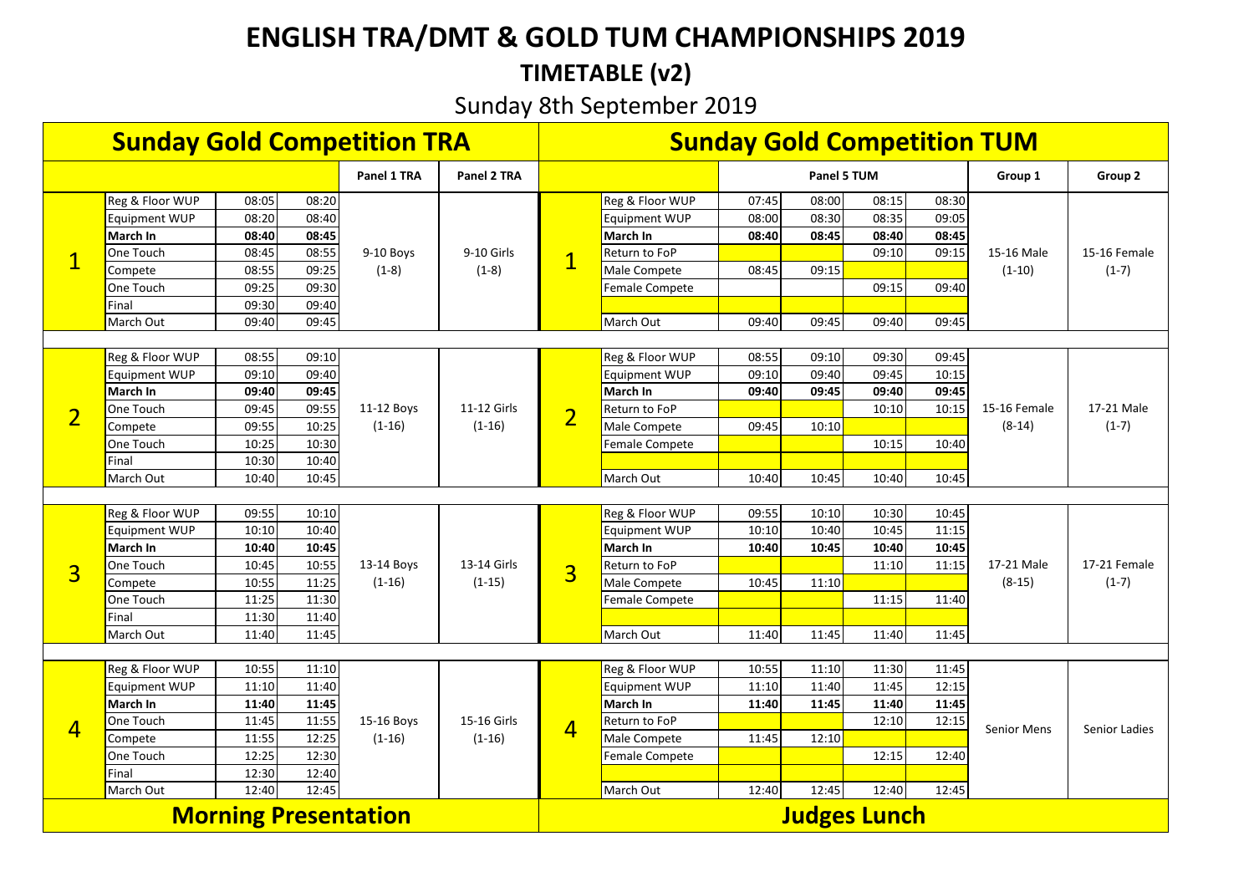# **ENGLISH TRA/DMT & GOLD TUM CHAMPIONSHIPS 2019**

# **TIMETABLE (v2)**

# Sunday 8th September 2019

| <b>Sunday Gold Competition TRA</b> |                      |       |       |                        |                         |                     | <b>Sunday Gold Competition TUM</b> |       |             |       |       |                    |               |  |
|------------------------------------|----------------------|-------|-------|------------------------|-------------------------|---------------------|------------------------------------|-------|-------------|-------|-------|--------------------|---------------|--|
|                                    |                      |       |       | Panel 1 TRA            | Panel 2 TRA             |                     |                                    |       | Panel 5 TUM |       |       | Group 1            | Group 2       |  |
| $\mathbf 1$                        | Reg & Floor WUP      | 08:05 | 08:20 |                        |                         |                     | Reg & Floor WUP                    | 07:45 | 08:00       | 08:15 | 08:30 |                    |               |  |
|                                    | Equipment WUP        | 08:20 | 08:40 |                        |                         |                     | <b>Equipment WUP</b>               | 08:00 | 08:30       | 08:35 | 09:05 |                    | 15-16 Female  |  |
|                                    | March In             | 08:40 | 08:45 |                        | 9-10 Girls              |                     | March In                           | 08:40 | 08:45       | 08:40 | 08:45 |                    |               |  |
|                                    | One Touch            | 08:45 | 08:55 | 9-10 Boys              |                         | $\overline{1}$      | Return to FoP                      |       |             | 09:10 | 09:15 | 15-16 Male         |               |  |
|                                    | Compete              | 08:55 | 09:25 | $(1-8)$                | $(1-8)$                 |                     | Male Compete                       | 08:45 | 09:15       |       |       | $(1-10)$           | $(1-7)$       |  |
|                                    | One Touch            | 09:25 | 09:30 |                        |                         |                     | Female Compete                     |       |             | 09:15 | 09:40 |                    |               |  |
|                                    | Final                | 09:30 | 09:40 |                        |                         |                     |                                    |       |             |       |       |                    |               |  |
|                                    | March Out            | 09:40 | 09:45 |                        |                         |                     | March Out                          | 09:40 | 09:45       | 09:40 | 09:45 |                    |               |  |
|                                    |                      |       |       |                        |                         |                     |                                    |       |             |       |       |                    |               |  |
|                                    | Reg & Floor WUP      | 08:55 | 09:10 |                        | 11-12 Girls<br>$(1-16)$ |                     | Reg & Floor WUP                    | 08:55 | 09:10       | 09:30 | 09:45 |                    | 17-21 Male    |  |
|                                    | Equipment WUP        | 09:10 | 09:40 |                        |                         |                     | <b>Equipment WUP</b>               | 09:10 | 09:40       | 09:45 | 10:15 | 15-16 Female       |               |  |
|                                    | March In             | 09:40 | 09:45 |                        |                         |                     | March In                           | 09:40 | 09:45       | 09:40 | 09:45 |                    |               |  |
| $\overline{2}$                     | One Touch            | 09:45 | 09:55 | 11-12 Boys<br>$(1-16)$ |                         | $\overline{2}$      | Return to FoP                      |       |             | 10:10 | 10:15 |                    |               |  |
|                                    | Compete              | 09:55 | 10:25 |                        |                         |                     | Male Compete                       | 09:45 | 10:10       |       |       | $(8-14)$           | $(1-7)$       |  |
|                                    | One Touch            | 10:25 | 10:30 |                        |                         |                     | Female Compete                     |       |             | 10:15 | 10:40 |                    |               |  |
|                                    | Final                | 10:30 | 10:40 |                        |                         |                     |                                    |       |             |       |       |                    |               |  |
|                                    | March Out            | 10:40 | 10:45 |                        |                         |                     | March Out                          | 10:40 | 10:45       | 10:40 | 10:45 |                    |               |  |
|                                    |                      |       |       |                        |                         |                     |                                    |       |             |       |       |                    |               |  |
|                                    | Reg & Floor WUP      | 09:55 | 10:10 |                        |                         |                     | Reg & Floor WUP                    | 09:55 | 10:10       | 10:30 | 10:45 |                    | 17-21 Female  |  |
|                                    | <b>Equipment WUP</b> | 10:10 | 10:40 |                        |                         |                     | <b>Equipment WUP</b>               | 10:10 | 10:40       | 10:45 | 11:15 |                    |               |  |
|                                    | March In             | 10:40 | 10:45 |                        |                         |                     | March In                           | 10:40 | 10:45       | 10:40 | 10:45 |                    |               |  |
| $\overline{3}$                     | One Touch            | 10:45 | 10:55 | 13-14 Boys             | 13-14 Girls             | $\overline{3}$      | Return to FoP                      |       |             | 11:10 | 11:15 | 17-21 Male         |               |  |
|                                    | Compete              | 10:55 | 11:25 | $(1-16)$               | $(1-15)$                |                     | Male Compete                       | 10:45 | 11:10       |       |       | $(8-15)$           | $(1-7)$       |  |
|                                    | One Touch            | 11:25 | 11:30 |                        |                         |                     | Female Compete                     |       |             | 11:15 | 11:40 |                    |               |  |
|                                    | Final                | 11:30 | 11:40 |                        |                         |                     |                                    |       |             |       |       |                    |               |  |
|                                    | March Out            | 11:40 | 11:45 |                        |                         |                     | March Out                          | 11:40 | 11:45       | 11:40 | 11:45 |                    |               |  |
|                                    | Reg & Floor WUP      | 10:55 | 11:10 |                        |                         |                     | Reg & Floor WUP                    | 10:55 | 11:10       | 11:30 | 11:45 |                    |               |  |
|                                    | Equipment WUP        | 11:10 | 11:40 |                        |                         |                     | <b>Equipment WUP</b>               | 11:10 | 11:40       | 11:45 | 12:15 |                    |               |  |
|                                    | March In             | 11:40 | 11:45 |                        |                         |                     | March In                           | 11:40 | 11:45       | 11:40 | 11:45 |                    |               |  |
|                                    | One Touch            | 11:45 | 11:55 | 15-16 Boys             | 15-16 Girls             |                     | Return to FoP                      |       |             | 12:10 | 12:15 |                    |               |  |
| $\overline{4}$                     | Compete              | 11:55 | 12:25 | $(1-16)$               | $(1-16)$                | $\overline{4}$      | Male Compete                       | 11:45 | 12:10       |       |       | <b>Senior Mens</b> | Senior Ladies |  |
|                                    | One Touch            | 12:25 | 12:30 |                        |                         |                     |                                    |       |             | 12:15 | 12:40 |                    |               |  |
|                                    | Final                | 12:30 | 12:40 |                        |                         |                     | Female Compete                     |       |             |       |       |                    |               |  |
|                                    | March Out            | 12:40 | 12:45 |                        |                         |                     | March Out                          | 12:40 | 12:45       | 12:40 | 12:45 |                    |               |  |
|                                    |                      |       |       |                        |                         |                     |                                    |       |             |       |       |                    |               |  |
| <b>Morning Presentation</b>        |                      |       |       |                        |                         | <b>Judges Lunch</b> |                                    |       |             |       |       |                    |               |  |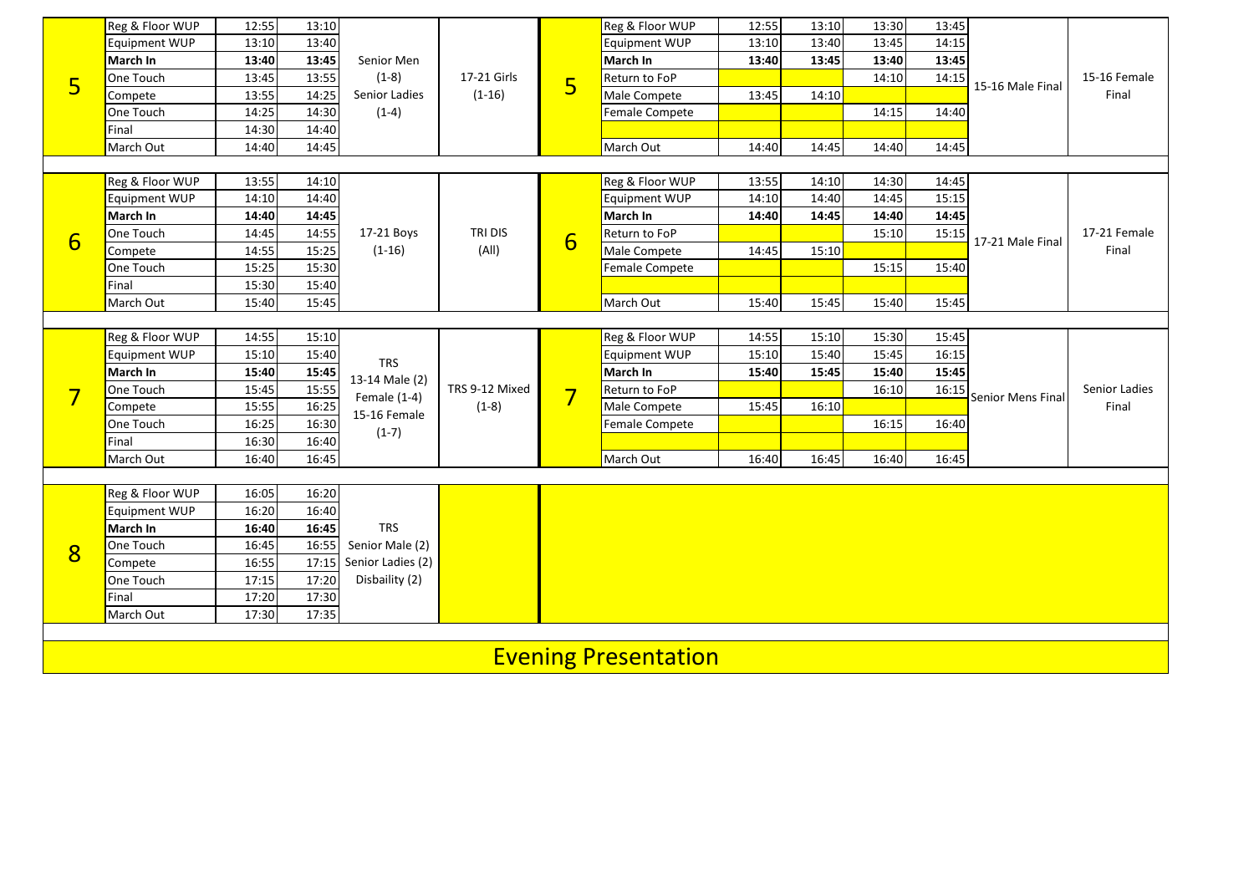|   | Reg & Floor WUP      | 12:55 | 13:10 |                                                                           |                           |                | Reg & Floor WUP             | 12:55 | 13:10 | 13:30 | 13:45 |                   |                       |
|---|----------------------|-------|-------|---------------------------------------------------------------------------|---------------------------|----------------|-----------------------------|-------|-------|-------|-------|-------------------|-----------------------|
| 5 | Equipment WUP        | 13:10 | 13:40 |                                                                           | 17-21 Girls<br>$(1-16)$   |                | <b>Equipment WUP</b>        | 13:10 | 13:40 | 13:45 | 14:15 |                   |                       |
|   | March In             | 13:40 | 13:45 | Senior Men                                                                |                           |                | March In                    | 13:40 | 13:45 | 13:40 | 13:45 |                   | 15-16 Female<br>Final |
|   | One Touch            | 13:45 | 13:55 | $(1-8)$                                                                   |                           |                | Return to FoP               |       |       | 14:10 | 14:15 |                   |                       |
|   | Compete              | 13:55 | 14:25 | Senior Ladies                                                             |                           | 5              | Male Compete                | 13:45 | 14:10 |       |       | 15-16 Male Final  |                       |
|   | One Touch            | 14:25 | 14:30 | $(1-4)$                                                                   |                           |                | Female Compete              |       |       | 14:15 | 14:40 |                   |                       |
|   | Final                | 14:30 | 14:40 |                                                                           |                           |                |                             |       |       |       |       |                   |                       |
|   | March Out            | 14:40 | 14:45 |                                                                           |                           |                | March Out                   | 14:40 | 14:45 | 14:40 | 14:45 |                   |                       |
|   |                      |       |       |                                                                           |                           |                |                             |       |       |       |       |                   |                       |
|   | Reg & Floor WUP      | 13:55 | 14:10 |                                                                           |                           |                | Reg & Floor WUP             | 13:55 | 14:10 | 14:30 | 14:45 |                   | 17-21 Female<br>Final |
|   | Equipment WUP        | 14:10 | 14:40 |                                                                           |                           |                | <b>Equipment WUP</b>        | 14:10 | 14:40 | 14:45 | 15:15 |                   |                       |
|   | March In             | 14:40 | 14:45 |                                                                           |                           | 6              | March In                    | 14:40 | 14:45 | 14:40 | 14:45 |                   |                       |
| 6 | One Touch            | 14:45 | 14:55 | 17-21 Boys                                                                | TRI DIS<br>(A  )          |                | Return to FoP               |       |       | 15:10 | 15:15 | 17-21 Male Final  |                       |
|   | Compete              | 14:55 | 15:25 | $(1-16)$                                                                  |                           |                | Male Compete                | 14:45 | 15:10 |       |       |                   |                       |
|   | One Touch            | 15:25 | 15:30 |                                                                           |                           |                | <b>Female Compete</b>       |       |       | 15:15 | 15:40 |                   |                       |
|   | Final                | 15:30 | 15:40 |                                                                           |                           |                |                             |       |       |       |       |                   |                       |
|   | March Out            | 15:40 | 15:45 |                                                                           |                           |                | March Out                   | 15:40 | 15:45 | 15:40 | 15:45 |                   |                       |
|   |                      |       |       |                                                                           |                           |                |                             |       |       |       |       |                   |                       |
|   | Reg & Floor WUP      | 14:55 | 15:10 | <b>TRS</b><br>13-14 Male (2)<br>Female $(1-4)$<br>15-16 Female<br>$(1-7)$ | TRS 9-12 Mixed<br>$(1-8)$ |                | Reg & Floor WUP             | 14:55 | 15:10 | 15:30 | 15:45 |                   |                       |
|   | Equipment WUP        | 15:10 | 15:40 |                                                                           |                           |                | <b>Equipment WUP</b>        | 15:10 | 15:40 | 15:45 | 16:15 |                   |                       |
|   | March In             | 15:40 | 15:45 |                                                                           |                           |                | March In                    | 15:40 | 15:45 | 15:40 | 15:45 | Senior Mens Final | Senior Ladies         |
| 7 | One Touch            | 15:45 | 15:55 |                                                                           |                           | $\overline{7}$ | Return to FoP               |       |       | 16:10 | 16:15 |                   |                       |
|   | Compete              | 15:55 | 16:25 |                                                                           |                           |                | Male Compete                | 15:45 | 16:10 |       |       |                   | Final                 |
|   | One Touch            | 16:25 | 16:30 |                                                                           |                           |                | Female Compete              |       |       | 16:15 | 16:40 |                   |                       |
|   | Final                | 16:30 | 16:40 |                                                                           |                           |                |                             |       |       |       |       |                   |                       |
|   | March Out            | 16:40 | 16:45 |                                                                           |                           |                | March Out                   | 16:40 | 16:45 | 16:40 | 16:45 |                   |                       |
|   |                      |       |       |                                                                           |                           |                |                             |       |       |       |       |                   |                       |
|   | Reg & Floor WUP      | 16:05 | 16:20 |                                                                           |                           |                |                             |       |       |       |       |                   |                       |
|   | <b>Equipment WUP</b> | 16:20 | 16:40 |                                                                           |                           |                |                             |       |       |       |       |                   |                       |
|   | March In             | 16:40 | 16:45 | <b>TRS</b>                                                                |                           |                |                             |       |       |       |       |                   |                       |
| 8 | One Touch            | 16:45 | 16:55 | Senior Male (2)                                                           |                           |                |                             |       |       |       |       |                   |                       |
|   | Compete              | 16:55 | 17:15 | Senior Ladies (2)                                                         |                           |                |                             |       |       |       |       |                   |                       |
|   | One Touch            | 17:15 | 17:20 | Disbaility (2)                                                            |                           |                |                             |       |       |       |       |                   |                       |
|   | Final                | 17:20 | 17:30 |                                                                           |                           |                |                             |       |       |       |       |                   |                       |
|   | March Out            | 17:30 | 17:35 |                                                                           |                           |                |                             |       |       |       |       |                   |                       |
|   |                      |       |       |                                                                           |                           |                |                             |       |       |       |       |                   |                       |
|   |                      |       |       |                                                                           |                           |                | <b>Evening Presentation</b> |       |       |       |       |                   |                       |
|   |                      |       |       |                                                                           |                           |                |                             |       |       |       |       |                   |                       |